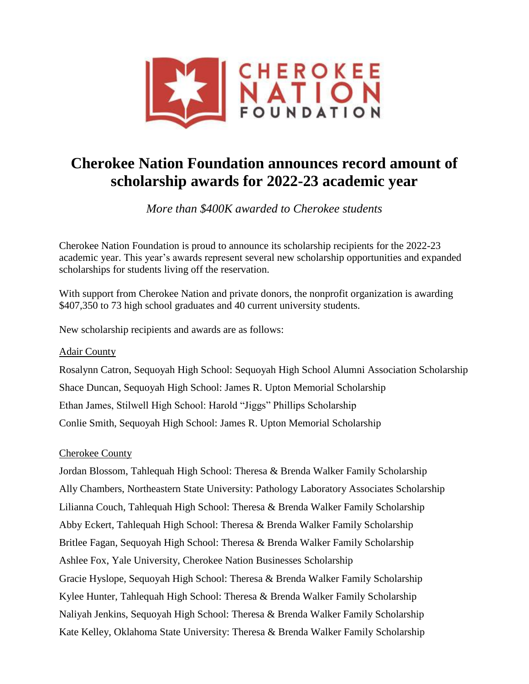

# **Cherokee Nation Foundation announces record amount of scholarship awards for 2022-23 academic year**

*More than \$400K awarded to Cherokee students*

Cherokee Nation Foundation is proud to announce its scholarship recipients for the 2022-23 academic year. This year's awards represent several new scholarship opportunities and expanded scholarships for students living off the reservation.

With support from Cherokee Nation and private donors, the nonprofit organization is awarding \$407,350 to 73 high school graduates and 40 current university students.

New scholarship recipients and awards are as follows:

## Adair County

Rosalynn Catron, Sequoyah High School: Sequoyah High School Alumni Association Scholarship Shace Duncan, Sequoyah High School: James R. Upton Memorial Scholarship Ethan James, Stilwell High School: Harold "Jiggs" Phillips Scholarship Conlie Smith, Sequoyah High School: James R. Upton Memorial Scholarship

## Cherokee County

Jordan Blossom, Tahlequah High School: Theresa & Brenda Walker Family Scholarship Ally Chambers, Northeastern State University: Pathology Laboratory Associates Scholarship Lilianna Couch, Tahlequah High School: Theresa & Brenda Walker Family Scholarship Abby Eckert, Tahlequah High School: Theresa & Brenda Walker Family Scholarship Britlee Fagan, Sequoyah High School: Theresa & Brenda Walker Family Scholarship Ashlee Fox, Yale University, Cherokee Nation Businesses Scholarship Gracie Hyslope, Sequoyah High School: Theresa & Brenda Walker Family Scholarship Kylee Hunter, Tahlequah High School: Theresa & Brenda Walker Family Scholarship Naliyah Jenkins, Sequoyah High School: Theresa & Brenda Walker Family Scholarship Kate Kelley, Oklahoma State University: Theresa & Brenda Walker Family Scholarship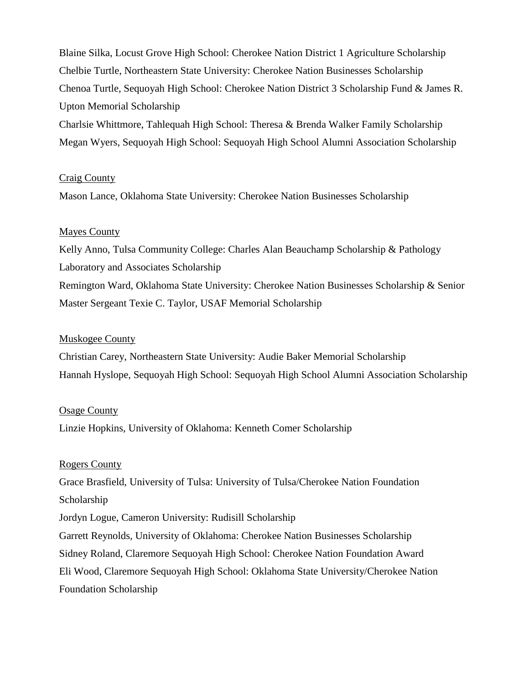Blaine Silka, Locust Grove High School: Cherokee Nation District 1 Agriculture Scholarship Chelbie Turtle, Northeastern State University: Cherokee Nation Businesses Scholarship Chenoa Turtle, Sequoyah High School: Cherokee Nation District 3 Scholarship Fund & James R. Upton Memorial Scholarship

Charlsie Whittmore, Tahlequah High School: Theresa & Brenda Walker Family Scholarship Megan Wyers, Sequoyah High School: Sequoyah High School Alumni Association Scholarship

#### Craig County

Mason Lance, Oklahoma State University: Cherokee Nation Businesses Scholarship

#### Mayes County

Kelly Anno, Tulsa Community College: Charles Alan Beauchamp Scholarship & Pathology Laboratory and Associates Scholarship Remington Ward, Oklahoma State University: Cherokee Nation Businesses Scholarship & Senior Master Sergeant Texie C. Taylor, USAF Memorial Scholarship

### Muskogee County

Christian Carey, Northeastern State University: Audie Baker Memorial Scholarship Hannah Hyslope, Sequoyah High School: Sequoyah High School Alumni Association Scholarship

## Osage County

Linzie Hopkins, University of Oklahoma: Kenneth Comer Scholarship

### Rogers County

Grace Brasfield, University of Tulsa: University of Tulsa/Cherokee Nation Foundation Scholarship Jordyn Logue, Cameron University: Rudisill Scholarship Garrett Reynolds, University of Oklahoma: Cherokee Nation Businesses Scholarship Sidney Roland, Claremore Sequoyah High School: Cherokee Nation Foundation Award Eli Wood, Claremore Sequoyah High School: Oklahoma State University/Cherokee Nation

# Foundation Scholarship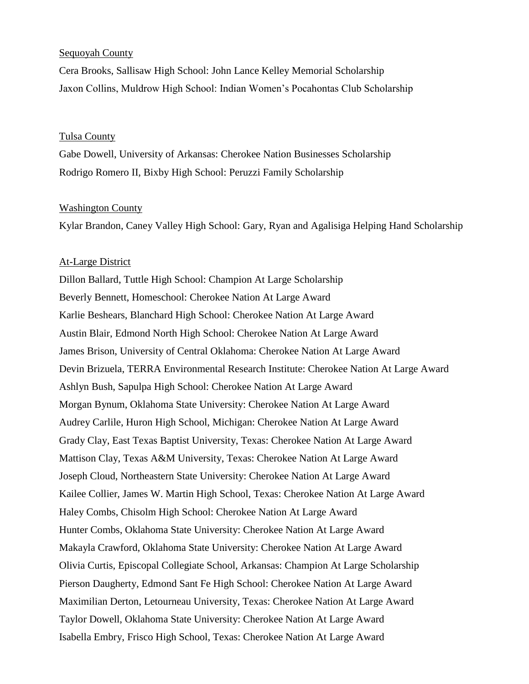### Sequoyah County

Cera Brooks, Sallisaw High School: John Lance Kelley Memorial Scholarship Jaxon Collins, Muldrow High School: Indian Women's Pocahontas Club Scholarship

#### Tulsa County

Gabe Dowell, University of Arkansas: Cherokee Nation Businesses Scholarship Rodrigo Romero II, Bixby High School: Peruzzi Family Scholarship

#### Washington County

Kylar Brandon, Caney Valley High School: Gary, Ryan and Agalisiga Helping Hand Scholarship

#### At-Large District

Dillon Ballard, Tuttle High School: Champion At Large Scholarship Beverly Bennett, Homeschool: Cherokee Nation At Large Award Karlie Beshears, Blanchard High School: Cherokee Nation At Large Award Austin Blair, Edmond North High School: Cherokee Nation At Large Award James Brison, University of Central Oklahoma: Cherokee Nation At Large Award Devin Brizuela, TERRA Environmental Research Institute: Cherokee Nation At Large Award Ashlyn Bush, Sapulpa High School: Cherokee Nation At Large Award Morgan Bynum, Oklahoma State University: Cherokee Nation At Large Award Audrey Carlile, Huron High School, Michigan: Cherokee Nation At Large Award Grady Clay, East Texas Baptist University, Texas: Cherokee Nation At Large Award Mattison Clay, Texas A&M University, Texas: Cherokee Nation At Large Award Joseph Cloud, Northeastern State University: Cherokee Nation At Large Award Kailee Collier, James W. Martin High School, Texas: Cherokee Nation At Large Award Haley Combs, Chisolm High School: Cherokee Nation At Large Award Hunter Combs, Oklahoma State University: Cherokee Nation At Large Award Makayla Crawford, Oklahoma State University: Cherokee Nation At Large Award Olivia Curtis, Episcopal Collegiate School, Arkansas: Champion At Large Scholarship Pierson Daugherty, Edmond Sant Fe High School: Cherokee Nation At Large Award Maximilian Derton, Letourneau University, Texas: Cherokee Nation At Large Award Taylor Dowell, Oklahoma State University: Cherokee Nation At Large Award Isabella Embry, Frisco High School, Texas: Cherokee Nation At Large Award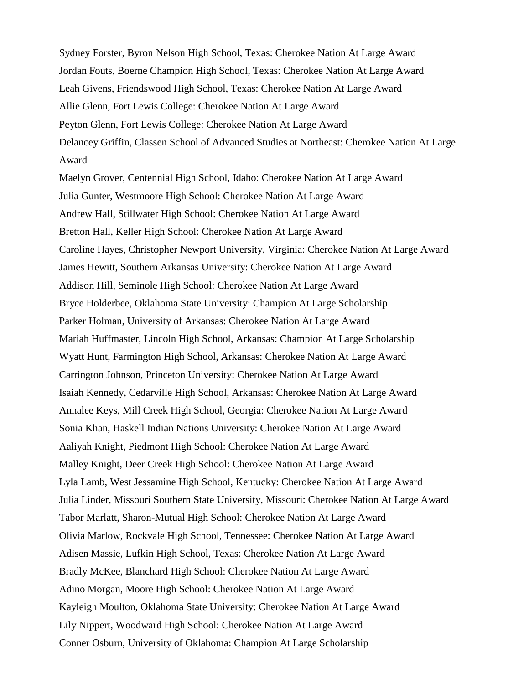Sydney Forster, Byron Nelson High School, Texas: Cherokee Nation At Large Award Jordan Fouts, Boerne Champion High School, Texas: Cherokee Nation At Large Award Leah Givens, Friendswood High School, Texas: Cherokee Nation At Large Award Allie Glenn, Fort Lewis College: Cherokee Nation At Large Award Peyton Glenn, Fort Lewis College: Cherokee Nation At Large Award Delancey Griffin, Classen School of Advanced Studies at Northeast: Cherokee Nation At Large Award

Maelyn Grover, Centennial High School, Idaho: Cherokee Nation At Large Award Julia Gunter, Westmoore High School: Cherokee Nation At Large Award Andrew Hall, Stillwater High School: Cherokee Nation At Large Award Bretton Hall, Keller High School: Cherokee Nation At Large Award Caroline Hayes, Christopher Newport University, Virginia: Cherokee Nation At Large Award James Hewitt, Southern Arkansas University: Cherokee Nation At Large Award Addison Hill, Seminole High School: Cherokee Nation At Large Award Bryce Holderbee, Oklahoma State University: Champion At Large Scholarship Parker Holman, University of Arkansas: Cherokee Nation At Large Award Mariah Huffmaster, Lincoln High School, Arkansas: Champion At Large Scholarship Wyatt Hunt, Farmington High School, Arkansas: Cherokee Nation At Large Award Carrington Johnson, Princeton University: Cherokee Nation At Large Award Isaiah Kennedy, Cedarville High School, Arkansas: Cherokee Nation At Large Award Annalee Keys, Mill Creek High School, Georgia: Cherokee Nation At Large Award Sonia Khan, Haskell Indian Nations University: Cherokee Nation At Large Award Aaliyah Knight, Piedmont High School: Cherokee Nation At Large Award Malley Knight, Deer Creek High School: Cherokee Nation At Large Award Lyla Lamb, West Jessamine High School, Kentucky: Cherokee Nation At Large Award Julia Linder, Missouri Southern State University, Missouri: Cherokee Nation At Large Award Tabor Marlatt, Sharon-Mutual High School: Cherokee Nation At Large Award Olivia Marlow, Rockvale High School, Tennessee: Cherokee Nation At Large Award Adisen Massie, Lufkin High School, Texas: Cherokee Nation At Large Award Bradly McKee, Blanchard High School: Cherokee Nation At Large Award Adino Morgan, Moore High School: Cherokee Nation At Large Award Kayleigh Moulton, Oklahoma State University: Cherokee Nation At Large Award Lily Nippert, Woodward High School: Cherokee Nation At Large Award Conner Osburn, University of Oklahoma: Champion At Large Scholarship